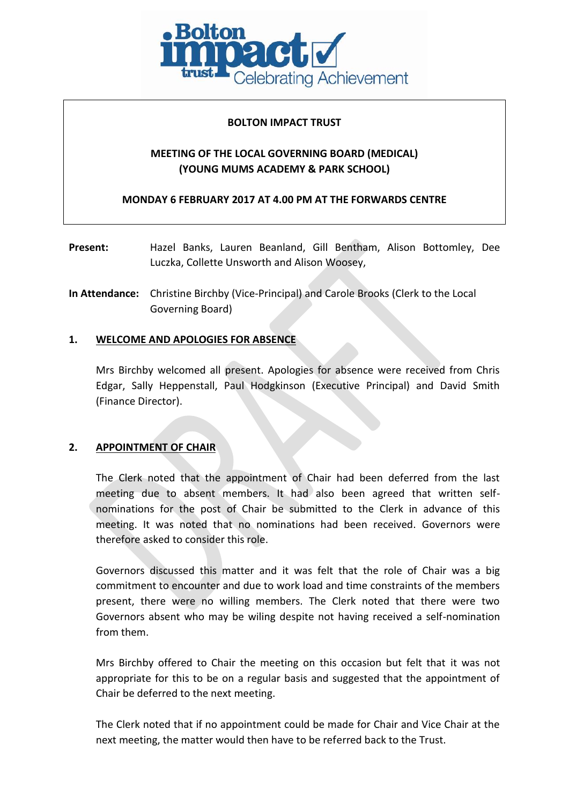

#### **BOLTON IMPACT TRUST**

## **MEETING OF THE LOCAL GOVERNING BOARD (MEDICAL) (YOUNG MUMS ACADEMY & PARK SCHOOL)**

**MONDAY 6 FEBRUARY 2017 AT 4.00 PM AT THE FORWARDS CENTRE**

- **Present:** Hazel Banks, Lauren Beanland, Gill Bentham, Alison Bottomley, Dee Luczka, Collette Unsworth and Alison Woosey,
- **In Attendance:** Christine Birchby (Vice-Principal) and Carole Brooks (Clerk to the Local Governing Board)

## **1. WELCOME AND APOLOGIES FOR ABSENCE**

Mrs Birchby welcomed all present. Apologies for absence were received from Chris Edgar, Sally Heppenstall, Paul Hodgkinson (Executive Principal) and David Smith (Finance Director).

## **2. APPOINTMENT OF CHAIR**

The Clerk noted that the appointment of Chair had been deferred from the last meeting due to absent members. It had also been agreed that written selfnominations for the post of Chair be submitted to the Clerk in advance of this meeting. It was noted that no nominations had been received. Governors were therefore asked to consider this role.

Governors discussed this matter and it was felt that the role of Chair was a big commitment to encounter and due to work load and time constraints of the members present, there were no willing members. The Clerk noted that there were two Governors absent who may be wiling despite not having received a self-nomination from them.

Mrs Birchby offered to Chair the meeting on this occasion but felt that it was not appropriate for this to be on a regular basis and suggested that the appointment of Chair be deferred to the next meeting.

The Clerk noted that if no appointment could be made for Chair and Vice Chair at the next meeting, the matter would then have to be referred back to the Trust.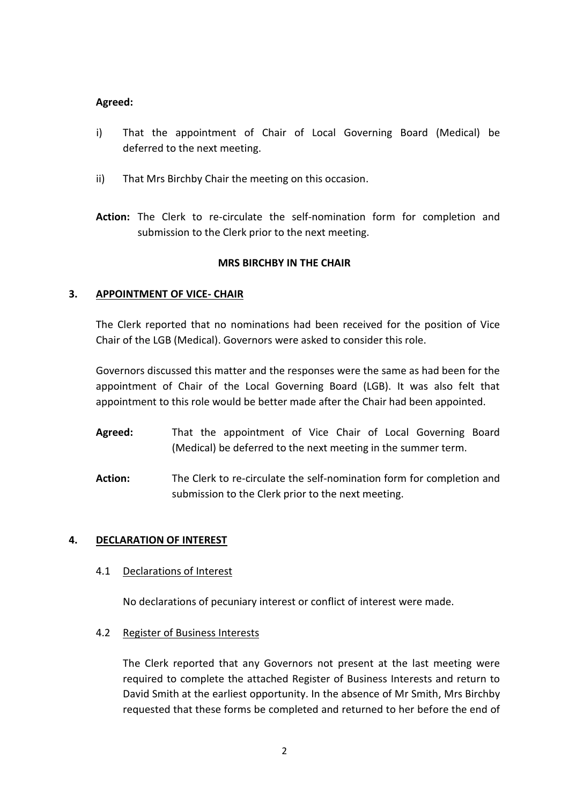### **Agreed:**

- i) That the appointment of Chair of Local Governing Board (Medical) be deferred to the next meeting.
- ii) That Mrs Birchby Chair the meeting on this occasion.
- **Action:** The Clerk to re-circulate the self-nomination form for completion and submission to the Clerk prior to the next meeting.

## **MRS BIRCHBY IN THE CHAIR**

## **3. APPOINTMENT OF VICE- CHAIR**

The Clerk reported that no nominations had been received for the position of Vice Chair of the LGB (Medical). Governors were asked to consider this role.

Governors discussed this matter and the responses were the same as had been for the appointment of Chair of the Local Governing Board (LGB). It was also felt that appointment to this role would be better made after the Chair had been appointed.

- **Agreed:** That the appointment of Vice Chair of Local Governing Board (Medical) be deferred to the next meeting in the summer term.
- Action: The Clerk to re-circulate the self-nomination form for completion and submission to the Clerk prior to the next meeting.

## **4. DECLARATION OF INTEREST**

#### 4.1 Declarations of Interest

No declarations of pecuniary interest or conflict of interest were made.

## 4.2 Register of Business Interests

The Clerk reported that any Governors not present at the last meeting were required to complete the attached Register of Business Interests and return to David Smith at the earliest opportunity. In the absence of Mr Smith, Mrs Birchby requested that these forms be completed and returned to her before the end of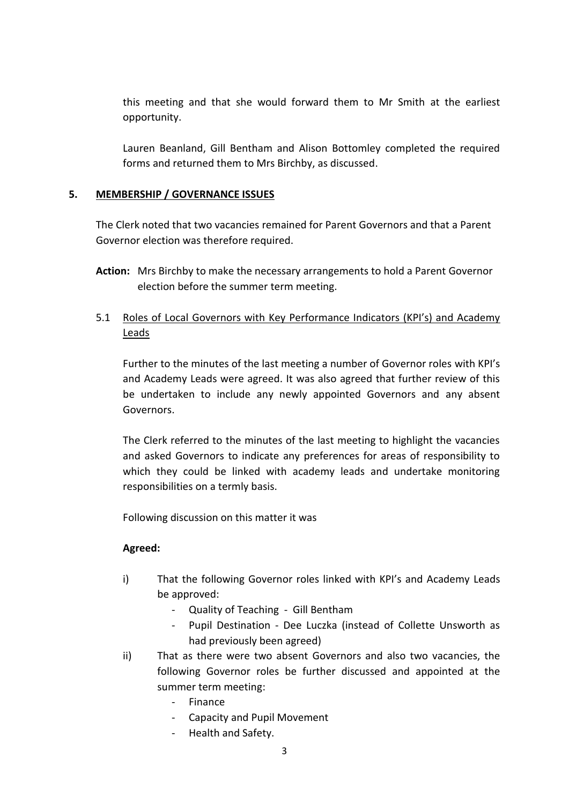this meeting and that she would forward them to Mr Smith at the earliest opportunity.

Lauren Beanland, Gill Bentham and Alison Bottomley completed the required forms and returned them to Mrs Birchby, as discussed.

## **5. MEMBERSHIP / GOVERNANCE ISSUES**

The Clerk noted that two vacancies remained for Parent Governors and that a Parent Governor election was therefore required.

**Action:** Mrs Birchby to make the necessary arrangements to hold a Parent Governor election before the summer term meeting.

# 5.1 Roles of Local Governors with Key Performance Indicators (KPI's) and Academy Leads

Further to the minutes of the last meeting a number of Governor roles with KPI's and Academy Leads were agreed. It was also agreed that further review of this be undertaken to include any newly appointed Governors and any absent Governors.

The Clerk referred to the minutes of the last meeting to highlight the vacancies and asked Governors to indicate any preferences for areas of responsibility to which they could be linked with academy leads and undertake monitoring responsibilities on a termly basis.

Following discussion on this matter it was

## **Agreed:**

- i) That the following Governor roles linked with KPI's and Academy Leads be approved:
	- Quality of Teaching Gill Bentham
	- Pupil Destination Dee Luczka (instead of Collette Unsworth as had previously been agreed)
- ii) That as there were two absent Governors and also two vacancies, the following Governor roles be further discussed and appointed at the summer term meeting:
	- Finance
	- Capacity and Pupil Movement
	- Health and Safety.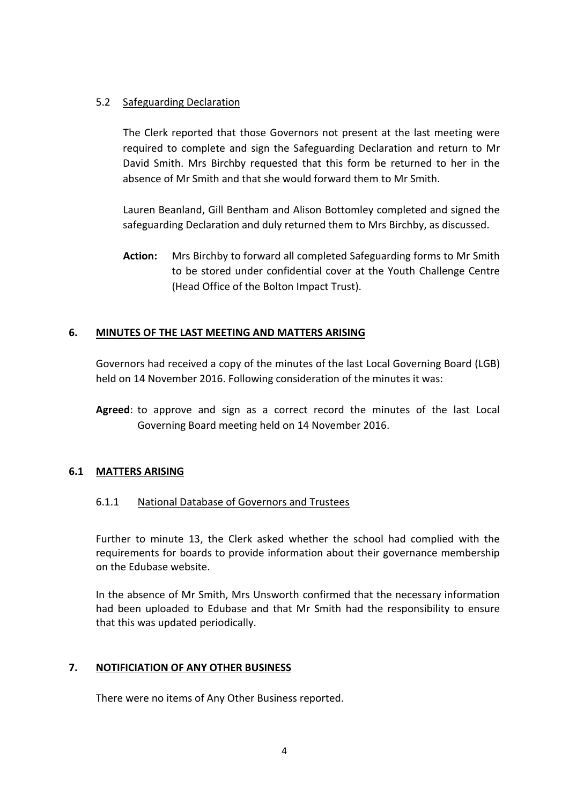### 5.2 Safeguarding Declaration

The Clerk reported that those Governors not present at the last meeting were required to complete and sign the Safeguarding Declaration and return to Mr David Smith. Mrs Birchby requested that this form be returned to her in the absence of Mr Smith and that she would forward them to Mr Smith.

Lauren Beanland, Gill Bentham and Alison Bottomley completed and signed the safeguarding Declaration and duly returned them to Mrs Birchby, as discussed.

**Action:** Mrs Birchby to forward all completed Safeguarding forms to Mr Smith to be stored under confidential cover at the Youth Challenge Centre (Head Office of the Bolton Impact Trust).

### **6. MINUTES OF THE LAST MEETING AND MATTERS ARISING**

Governors had received a copy of the minutes of the last Local Governing Board (LGB) held on 14 November 2016. Following consideration of the minutes it was:

**Agreed**: to approve and sign as a correct record the minutes of the last Local Governing Board meeting held on 14 November 2016.

#### **6.1 MATTERS ARISING**

## 6.1.1 National Database of Governors and Trustees

Further to minute 13, the Clerk asked whether the school had complied with the requirements for boards to provide information about their governance membership on the Edubase website.

In the absence of Mr Smith, Mrs Unsworth confirmed that the necessary information had been uploaded to Edubase and that Mr Smith had the responsibility to ensure that this was updated periodically.

## **7. NOTIFICIATION OF ANY OTHER BUSINESS**

There were no items of Any Other Business reported.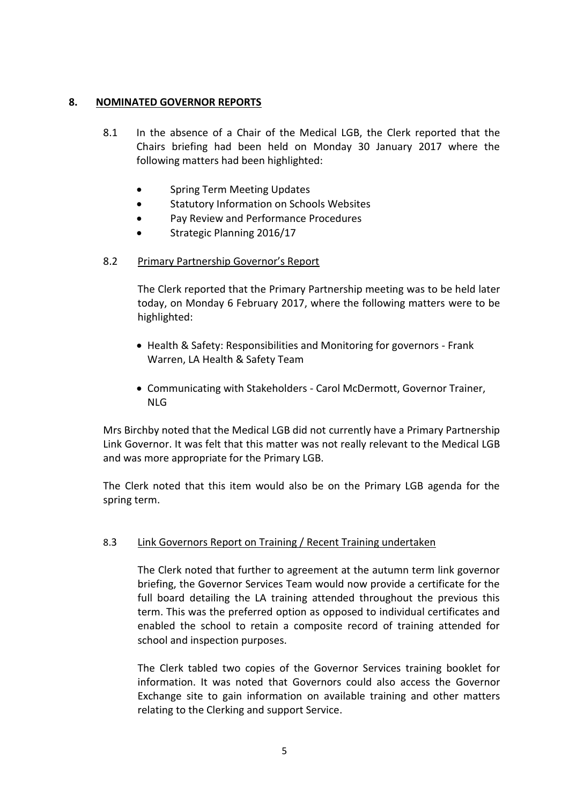### **8. NOMINATED GOVERNOR REPORTS**

- 8.1 In the absence of a Chair of the Medical LGB, the Clerk reported that the Chairs briefing had been held on Monday 30 January 2017 where the following matters had been highlighted:
	- **•** Spring Term Meeting Updates
	- Statutory Information on Schools Websites
	- Pay Review and Performance Procedures
	- Strategic Planning 2016/17

### 8.2 Primary Partnership Governor's Report

The Clerk reported that the Primary Partnership meeting was to be held later today, on Monday 6 February 2017, where the following matters were to be highlighted:

- Health & Safety: Responsibilities and Monitoring for governors Frank Warren, LA Health & Safety Team
- Communicating with Stakeholders Carol McDermott, Governor Trainer, NLG

Mrs Birchby noted that the Medical LGB did not currently have a Primary Partnership Link Governor. It was felt that this matter was not really relevant to the Medical LGB and was more appropriate for the Primary LGB.

The Clerk noted that this item would also be on the Primary LGB agenda for the spring term.

## 8.3 Link Governors Report on Training / Recent Training undertaken

The Clerk noted that further to agreement at the autumn term link governor briefing, the Governor Services Team would now provide a certificate for the full board detailing the LA training attended throughout the previous this term. This was the preferred option as opposed to individual certificates and enabled the school to retain a composite record of training attended for school and inspection purposes.

The Clerk tabled two copies of the Governor Services training booklet for information. It was noted that Governors could also access the Governor Exchange site to gain information on available training and other matters relating to the Clerking and support Service.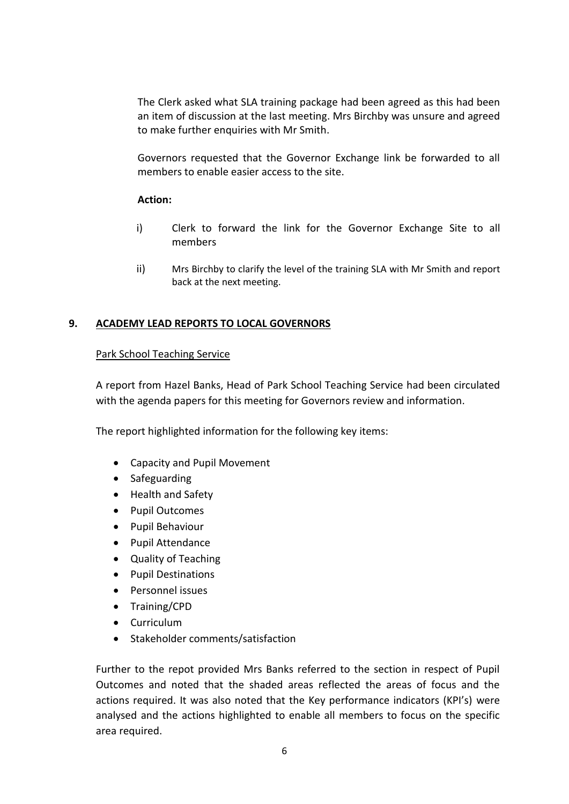The Clerk asked what SLA training package had been agreed as this had been an item of discussion at the last meeting. Mrs Birchby was unsure and agreed to make further enquiries with Mr Smith.

Governors requested that the Governor Exchange link be forwarded to all members to enable easier access to the site.

### **Action:**

- i) Clerk to forward the link for the Governor Exchange Site to all members
- ii) Mrs Birchby to clarify the level of the training SLA with Mr Smith and report back at the next meeting.

## **9. ACADEMY LEAD REPORTS TO LOCAL GOVERNORS**

### Park School Teaching Service

A report from Hazel Banks, Head of Park School Teaching Service had been circulated with the agenda papers for this meeting for Governors review and information.

The report highlighted information for the following key items:

- Capacity and Pupil Movement
- Safeguarding
- Health and Safety
- Pupil Outcomes
- Pupil Behaviour
- Pupil Attendance
- Quality of Teaching
- Pupil Destinations
- Personnel issues
- Training/CPD
- Curriculum
- Stakeholder comments/satisfaction

Further to the repot provided Mrs Banks referred to the section in respect of Pupil Outcomes and noted that the shaded areas reflected the areas of focus and the actions required. It was also noted that the Key performance indicators (KPI's) were analysed and the actions highlighted to enable all members to focus on the specific area required.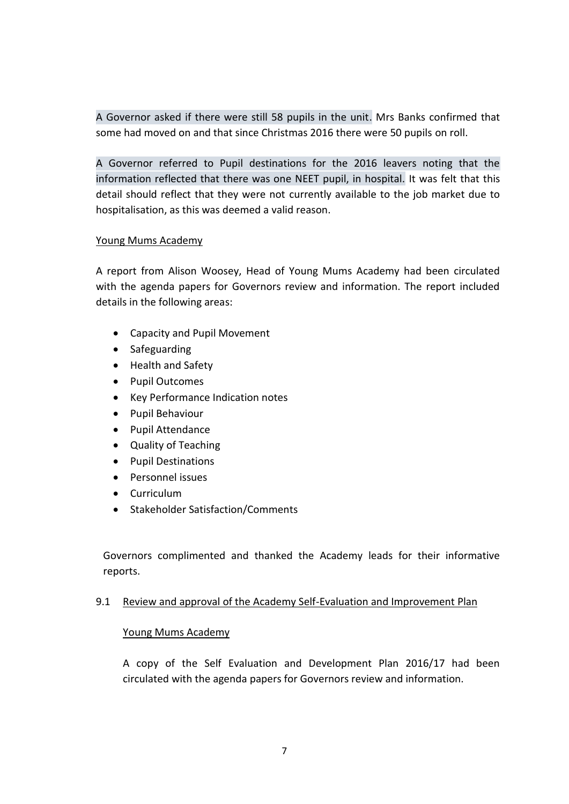A Governor asked if there were still 58 pupils in the unit. Mrs Banks confirmed that some had moved on and that since Christmas 2016 there were 50 pupils on roll.

A Governor referred to Pupil destinations for the 2016 leavers noting that the information reflected that there was one NEET pupil, in hospital. It was felt that this detail should reflect that they were not currently available to the job market due to hospitalisation, as this was deemed a valid reason.

### Young Mums Academy

A report from Alison Woosey, Head of Young Mums Academy had been circulated with the agenda papers for Governors review and information. The report included details in the following areas:

- Capacity and Pupil Movement
- Safeguarding
- Health and Safety
- Pupil Outcomes
- Key Performance Indication notes
- Pupil Behaviour
- Pupil Attendance
- Quality of Teaching
- Pupil Destinations
- Personnel issues
- Curriculum
- Stakeholder Satisfaction/Comments

Governors complimented and thanked the Academy leads for their informative reports.

#### 9.1 Review and approval of the Academy Self-Evaluation and Improvement Plan

## Young Mums Academy

A copy of the Self Evaluation and Development Plan 2016/17 had been circulated with the agenda papers for Governors review and information.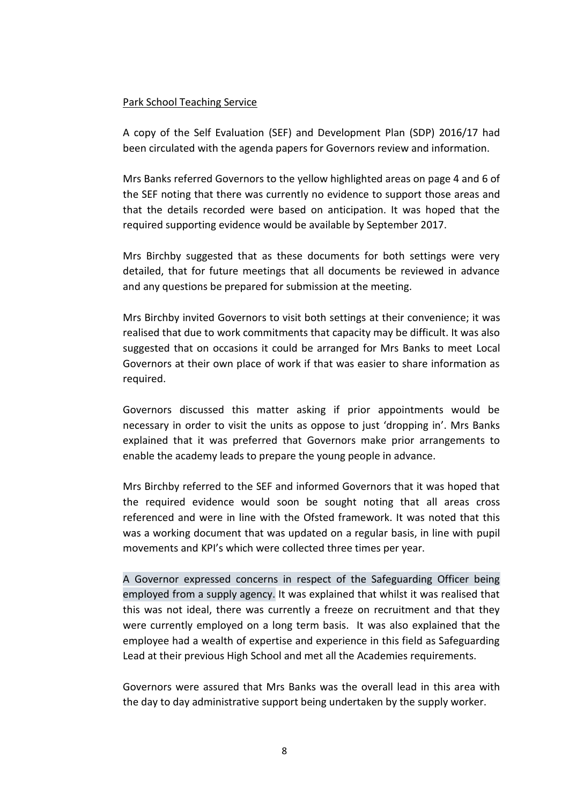#### Park School Teaching Service

A copy of the Self Evaluation (SEF) and Development Plan (SDP) 2016/17 had been circulated with the agenda papers for Governors review and information.

Mrs Banks referred Governors to the yellow highlighted areas on page 4 and 6 of the SEF noting that there was currently no evidence to support those areas and that the details recorded were based on anticipation. It was hoped that the required supporting evidence would be available by September 2017.

Mrs Birchby suggested that as these documents for both settings were very detailed, that for future meetings that all documents be reviewed in advance and any questions be prepared for submission at the meeting.

Mrs Birchby invited Governors to visit both settings at their convenience; it was realised that due to work commitments that capacity may be difficult. It was also suggested that on occasions it could be arranged for Mrs Banks to meet Local Governors at their own place of work if that was easier to share information as required.

Governors discussed this matter asking if prior appointments would be necessary in order to visit the units as oppose to just 'dropping in'. Mrs Banks explained that it was preferred that Governors make prior arrangements to enable the academy leads to prepare the young people in advance.

Mrs Birchby referred to the SEF and informed Governors that it was hoped that the required evidence would soon be sought noting that all areas cross referenced and were in line with the Ofsted framework. It was noted that this was a working document that was updated on a regular basis, in line with pupil movements and KPI's which were collected three times per year.

A Governor expressed concerns in respect of the Safeguarding Officer being employed from a supply agency. It was explained that whilst it was realised that this was not ideal, there was currently a freeze on recruitment and that they were currently employed on a long term basis. It was also explained that the employee had a wealth of expertise and experience in this field as Safeguarding Lead at their previous High School and met all the Academies requirements.

Governors were assured that Mrs Banks was the overall lead in this area with the day to day administrative support being undertaken by the supply worker.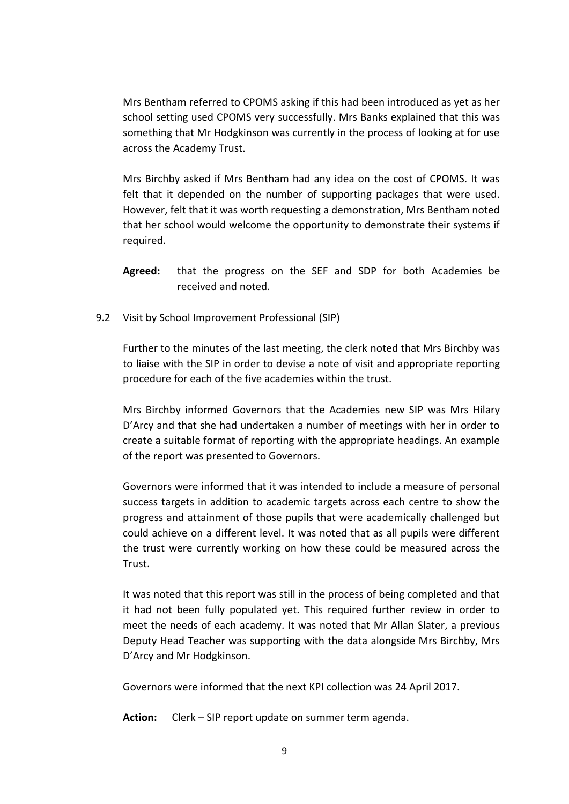Mrs Bentham referred to CPOMS asking if this had been introduced as yet as her school setting used CPOMS very successfully. Mrs Banks explained that this was something that Mr Hodgkinson was currently in the process of looking at for use across the Academy Trust.

Mrs Birchby asked if Mrs Bentham had any idea on the cost of CPOMS. It was felt that it depended on the number of supporting packages that were used. However, felt that it was worth requesting a demonstration, Mrs Bentham noted that her school would welcome the opportunity to demonstrate their systems if required.

**Agreed:** that the progress on the SEF and SDP for both Academies be received and noted.

### 9.2 Visit by School Improvement Professional (SIP)

Further to the minutes of the last meeting, the clerk noted that Mrs Birchby was to liaise with the SIP in order to devise a note of visit and appropriate reporting procedure for each of the five academies within the trust.

Mrs Birchby informed Governors that the Academies new SIP was Mrs Hilary D'Arcy and that she had undertaken a number of meetings with her in order to create a suitable format of reporting with the appropriate headings. An example of the report was presented to Governors.

Governors were informed that it was intended to include a measure of personal success targets in addition to academic targets across each centre to show the progress and attainment of those pupils that were academically challenged but could achieve on a different level. It was noted that as all pupils were different the trust were currently working on how these could be measured across the Trust.

It was noted that this report was still in the process of being completed and that it had not been fully populated yet. This required further review in order to meet the needs of each academy. It was noted that Mr Allan Slater, a previous Deputy Head Teacher was supporting with the data alongside Mrs Birchby, Mrs D'Arcy and Mr Hodgkinson.

Governors were informed that the next KPI collection was 24 April 2017.

**Action:** Clerk – SIP report update on summer term agenda.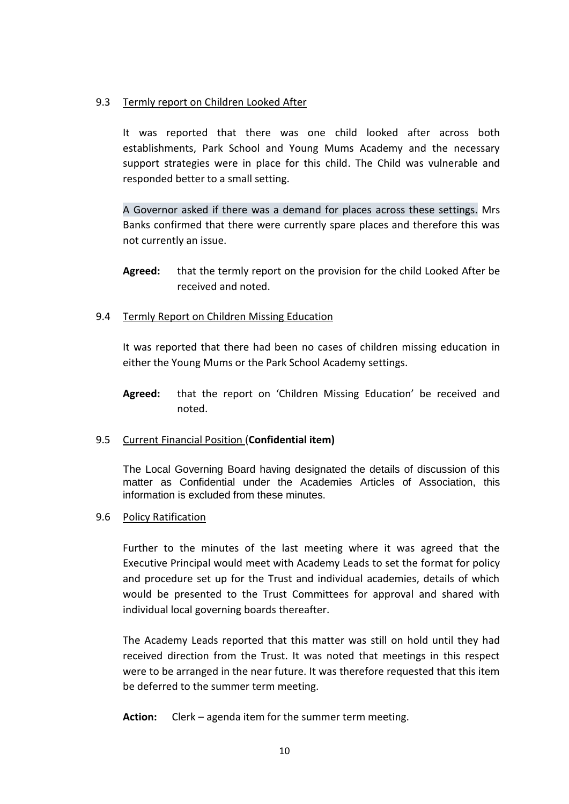### 9.3 Termly report on Children Looked After

It was reported that there was one child looked after across both establishments, Park School and Young Mums Academy and the necessary support strategies were in place for this child. The Child was vulnerable and responded better to a small setting.

A Governor asked if there was a demand for places across these settings. Mrs Banks confirmed that there were currently spare places and therefore this was not currently an issue.

- **Agreed:** that the termly report on the provision for the child Looked After be received and noted.
- 9.4 Termly Report on Children Missing Education

It was reported that there had been no cases of children missing education in either the Young Mums or the Park School Academy settings.

**Agreed:** that the report on 'Children Missing Education' be received and noted.

## 9.5 Current Financial Position (**Confidential item)**

The Local Governing Board having designated the details of discussion of this matter as Confidential under the Academies Articles of Association, this information is excluded from these minutes.

### 9.6 Policy Ratification

Further to the minutes of the last meeting where it was agreed that the Executive Principal would meet with Academy Leads to set the format for policy and procedure set up for the Trust and individual academies, details of which would be presented to the Trust Committees for approval and shared with individual local governing boards thereafter.

The Academy Leads reported that this matter was still on hold until they had received direction from the Trust. It was noted that meetings in this respect were to be arranged in the near future. It was therefore requested that this item be deferred to the summer term meeting.

**Action:** Clerk – agenda item for the summer term meeting.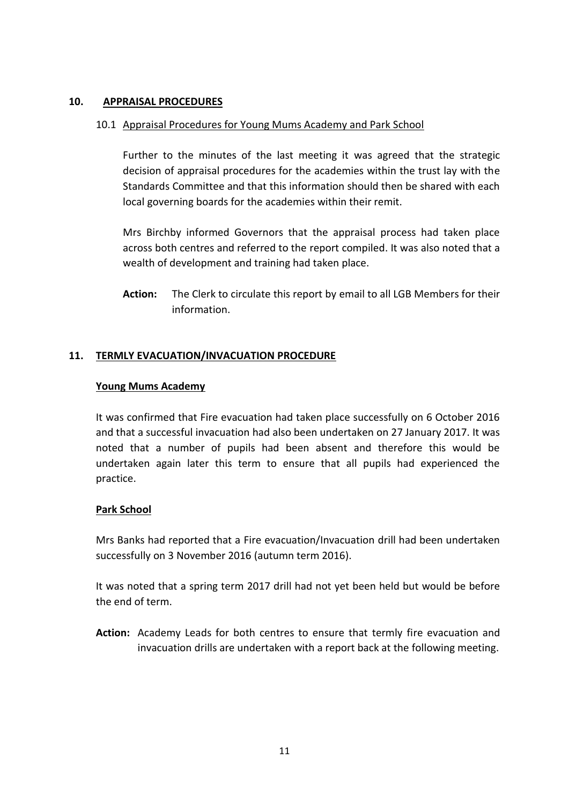## **10. APPRAISAL PROCEDURES**

### 10.1 Appraisal Procedures for Young Mums Academy and Park School

Further to the minutes of the last meeting it was agreed that the strategic decision of appraisal procedures for the academies within the trust lay with the Standards Committee and that this information should then be shared with each local governing boards for the academies within their remit.

Mrs Birchby informed Governors that the appraisal process had taken place across both centres and referred to the report compiled. It was also noted that a wealth of development and training had taken place.

**Action:** The Clerk to circulate this report by email to all LGB Members for their information.

### **11. TERMLY EVACUATION/INVACUATION PROCEDURE**

#### **Young Mums Academy**

It was confirmed that Fire evacuation had taken place successfully on 6 October 2016 and that a successful invacuation had also been undertaken on 27 January 2017. It was noted that a number of pupils had been absent and therefore this would be undertaken again later this term to ensure that all pupils had experienced the practice.

## **Park School**

Mrs Banks had reported that a Fire evacuation/Invacuation drill had been undertaken successfully on 3 November 2016 (autumn term 2016).

It was noted that a spring term 2017 drill had not yet been held but would be before the end of term.

**Action:** Academy Leads for both centres to ensure that termly fire evacuation and invacuation drills are undertaken with a report back at the following meeting.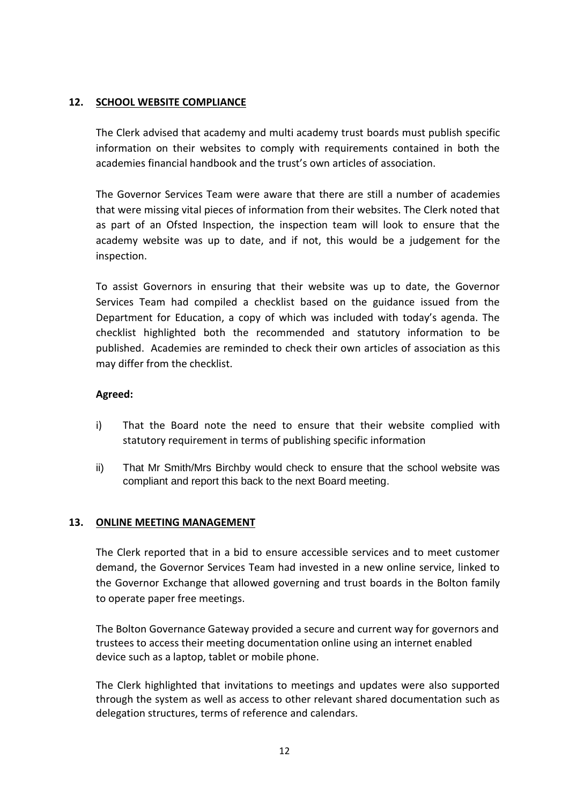## **12. SCHOOL WEBSITE COMPLIANCE**

The Clerk advised that academy and multi academy trust boards must publish specific information on their websites to comply with requirements contained in both the academies financial handbook and the trust's own articles of association.

The Governor Services Team were aware that there are still a number of academies that were missing vital pieces of information from their websites. The Clerk noted that as part of an Ofsted Inspection, the inspection team will look to ensure that the academy website was up to date, and if not, this would be a judgement for the inspection.

To assist Governors in ensuring that their website was up to date, the Governor Services Team had compiled a checklist based on the guidance issued from the Department for Education, a copy of which was included with today's agenda. The checklist highlighted both the recommended and statutory information to be published. Academies are reminded to check their own articles of association as this may differ from the checklist.

### **Agreed:**

- i) That the Board note the need to ensure that their website complied with statutory requirement in terms of publishing specific information
- ii) That Mr Smith/Mrs Birchby would check to ensure that the school website was compliant and report this back to the next Board meeting.

#### **13. ONLINE MEETING MANAGEMENT**

The Clerk reported that in a bid to ensure accessible services and to meet customer demand, the Governor Services Team had invested in a new online service, linked to the Governor Exchange that allowed governing and trust boards in the Bolton family to operate paper free meetings.

The Bolton Governance Gateway provided a secure and current way for governors and trustees to access their meeting documentation online using an internet enabled device such as a laptop, tablet or mobile phone.

The Clerk highlighted that invitations to meetings and updates were also supported through the system as well as access to other relevant shared documentation such as delegation structures, terms of reference and calendars.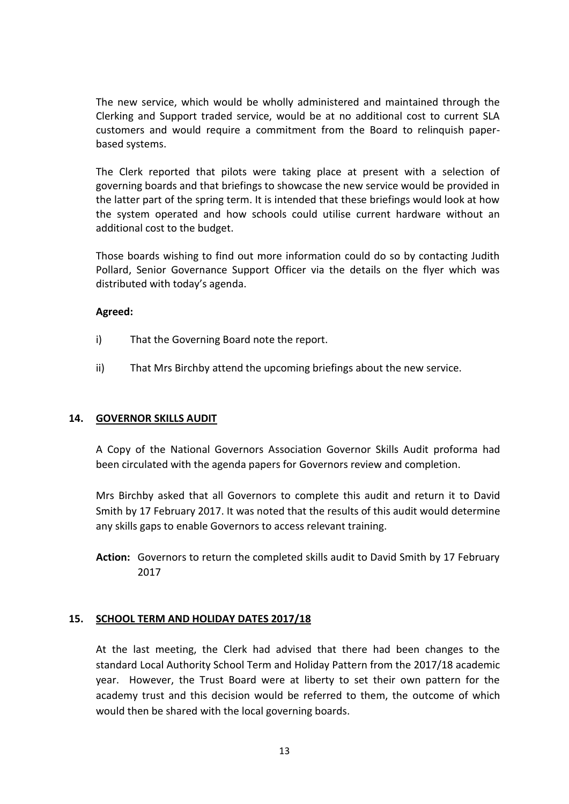The new service, which would be wholly administered and maintained through the Clerking and Support traded service, would be at no additional cost to current SLA customers and would require a commitment from the Board to relinquish paperbased systems.

The Clerk reported that pilots were taking place at present with a selection of governing boards and that briefings to showcase the new service would be provided in the latter part of the spring term. It is intended that these briefings would look at how the system operated and how schools could utilise current hardware without an additional cost to the budget.

Those boards wishing to find out more information could do so by contacting Judith Pollard, Senior Governance Support Officer via the details on the flyer which was distributed with today's agenda.

### **Agreed:**

- i) That the Governing Board note the report.
- ii) That Mrs Birchby attend the upcoming briefings about the new service.

#### **14. GOVERNOR SKILLS AUDIT**

A Copy of the National Governors Association Governor Skills Audit proforma had been circulated with the agenda papers for Governors review and completion.

Mrs Birchby asked that all Governors to complete this audit and return it to David Smith by 17 February 2017. It was noted that the results of this audit would determine any skills gaps to enable Governors to access relevant training.

**Action:** Governors to return the completed skills audit to David Smith by 17 February 2017

#### **15. SCHOOL TERM AND HOLIDAY DATES 2017/18**

At the last meeting, the Clerk had advised that there had been changes to the standard Local Authority School Term and Holiday Pattern from the 2017/18 academic year. However, the Trust Board were at liberty to set their own pattern for the academy trust and this decision would be referred to them, the outcome of which would then be shared with the local governing boards.